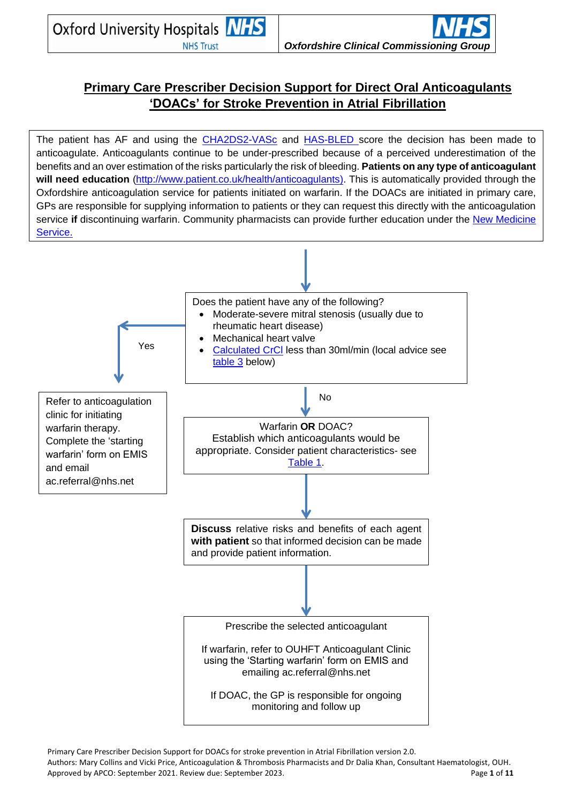# **Primary Care Prescriber Decision Support for Direct Oral Anticoagulants 'DOACs' for Stroke Prevention in Atrial Fibrillation**

The patient has AF and using the [CHA2DS2-VASc](https://www.mdcalc.com/cha2ds2-vasc-score-atrial-fibrillation-stroke-risk) and [HAS-BLED](https://www.mdcalc.com/has-bled-score-major-bleeding-risk) score the decision has been made to anticoagulate. Anticoagulants continue to be under-prescribed because of a perceived underestimation of the benefits and an over estimation of the risks particularly the risk of bleeding. **Patients on any type of anticoagulant will need education** [\(http://www.patient.co.uk/health/anticoagulants\)](http://www.patient.co.uk/health/anticoagulants). This is automatically provided through the Oxfordshire anticoagulation service for patients initiated on warfarin. If the DOACs are initiated in primary care, GPs are responsible for supplying information to patients or they can request this directly with the anticoagulation service **if** discontinuing warfarin. Community pharmacists can provide further education under the [New Medicine](http://www.nhs.uk/nhsengland/aboutnhsservices/pharmacists/pages/medicine-service-qa.aspx)  [Service.](http://www.nhs.uk/nhsengland/aboutnhsservices/pharmacists/pages/medicine-service-qa.aspx)



Primary Care Prescriber Decision Support for DOACs for stroke prevention in Atrial Fibrillation version 2.0. Authors: Mary Collins and Vicki Price, Anticoagulation & Thrombosis Pharmacists and Dr Dalia Khan, Consultant Haematologist, OUH. Approved by APCO: September 2021. Review due: September 2023. Page **1** of **11**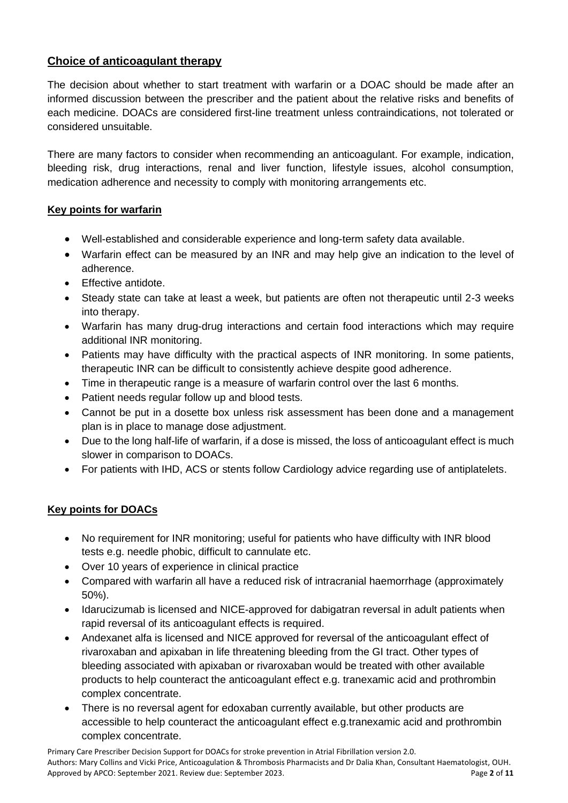## **Choice of anticoagulant therapy**

The decision about whether to start treatment with warfarin or a DOAC should be made after an informed discussion between the prescriber and the patient about the relative risks and benefits of each medicine. DOACs are considered first-line treatment unless contraindications, not tolerated or considered unsuitable.

There are many factors to consider when recommending an anticoagulant. For example, indication, bleeding risk, drug interactions, renal and liver function, lifestyle issues, alcohol consumption, medication adherence and necessity to comply with monitoring arrangements etc.

## **Key points for warfarin**

- Well-established and considerable experience and long-term safety data available.
- Warfarin effect can be measured by an INR and may help give an indication to the level of adherence.
- Effective antidote.
- Steady state can take at least a week, but patients are often not therapeutic until 2-3 weeks into therapy.
- Warfarin has many drug-drug interactions and certain food interactions which may require additional INR monitoring.
- Patients may have difficulty with the practical aspects of INR monitoring. In some patients, therapeutic INR can be difficult to consistently achieve despite good adherence.
- Time in therapeutic range is a measure of warfarin control over the last 6 months.
- Patient needs regular follow up and blood tests.
- Cannot be put in a dosette box unless risk assessment has been done and a management plan is in place to manage dose adjustment.
- Due to the long half-life of warfarin, if a dose is missed, the loss of anticoagulant effect is much slower in comparison to DOACs.
- For patients with IHD, ACS or stents follow Cardiology advice regarding use of antiplatelets.

## **Key points for DOACs**

- No requirement for INR monitoring; useful for patients who have difficulty with INR blood tests e.g. needle phobic, difficult to cannulate etc.
- Over 10 years of experience in clinical practice
- Compared with warfarin all have a reduced risk of intracranial haemorrhage (approximately 50%).
- Idarucizumab is licensed and NICE-approved for dabigatran reversal in adult patients when rapid reversal of its anticoagulant effects is required.
- Andexanet alfa is licensed and NICE approved for reversal of the anticoagulant effect of rivaroxaban and apixaban in life threatening bleeding from the GI tract. Other types of bleeding associated with apixaban or rivaroxaban would be treated with other available products to help counteract the anticoagulant effect e.g. tranexamic acid and prothrombin complex concentrate.
- There is no reversal agent for edoxaban currently available, but other products are accessible to help counteract the anticoagulant effect e.g.tranexamic acid and prothrombin complex concentrate.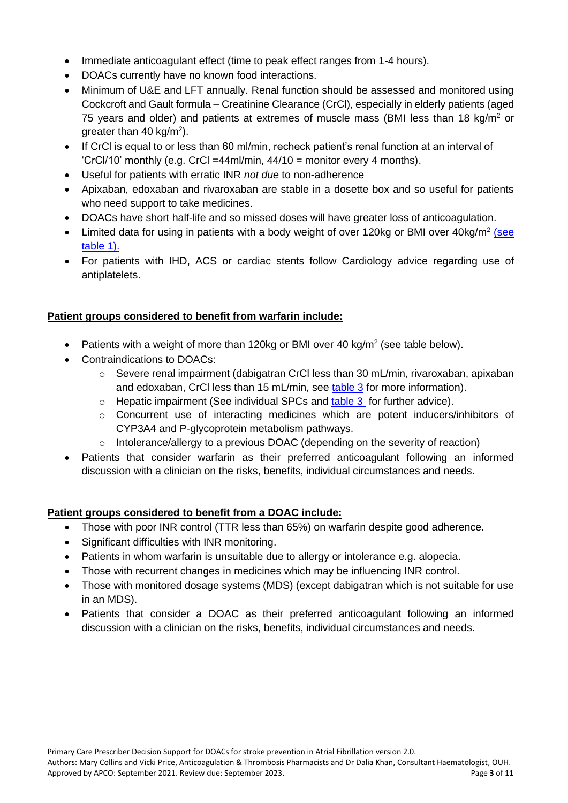- Immediate anticoagulant effect (time to peak effect ranges from 1-4 hours).
- DOACs currently have no known food interactions.
- Minimum of U&E and LFT annually. Renal function should be assessed and monitored using Cockcroft and Gault formula – Creatinine Clearance (CrCl), especially in elderly patients (aged 75 years and older) and patients at extremes of muscle mass (BMI less than 18 kg/m<sup>2</sup> or greater than 40 kg/m<sup>2</sup>).
- If CrCI is equal to or less than 60 ml/min, recheck patient's renal function at an interval of 'CrCl/10' monthly (e.g. CrCl =44ml/min, 44/10 = monitor every 4 months).
- Useful for patients with erratic INR *not due* to non-adherence
- Apixaban, edoxaban and rivaroxaban are stable in a dosette box and so useful for patients who need support to take medicines.
- DOACs have short half-life and so missed doses will have greater loss of anticoagulation.
- Limited data for using in patients with a body weight of over 120kg or BMI over 40kg/m<sup>2</sup> (see [table 1\).](#page-3-0)
- For patients with IHD, ACS or cardiac stents follow Cardiology advice regarding use of antiplatelets.

## **Patient groups considered to benefit from warfarin include:**

- Patients with a weight of more than 120kg or BMI over 40 kg/m<sup>2</sup> (see table below).
- Contraindications to DOACs:
	- o Severe renal impairment (dabigatran CrCl less than 30 mL/min, rivaroxaban, apixaban and edoxaban, CrCl less than 15 mL/min, see [table 3](#page-8-0) for more information).
	- $\circ$  Hepatic impairment (See individual SPCs and [table 3](#page-8-0) for further advice).
	- $\circ$  Concurrent use of interacting medicines which are potent inducers/inhibitors of CYP3A4 and P-glycoprotein metabolism pathways.
	- o Intolerance/allergy to a previous DOAC (depending on the severity of reaction)
- Patients that consider warfarin as their preferred anticoagulant following an informed discussion with a clinician on the risks, benefits, individual circumstances and needs.

## **Patient groups considered to benefit from a DOAC include:**

- Those with poor INR control (TTR less than 65%) on warfarin despite good adherence.
- Significant difficulties with INR monitoring.
- Patients in whom warfarin is unsuitable due to allergy or intolerance e.g. alopecia.
- Those with recurrent changes in medicines which may be influencing INR control.
- Those with monitored dosage systems (MDS) (except dabigatran which is not suitable for use in an MDS).
- Patients that consider a DOAC as their preferred anticoagulant following an informed discussion with a clinician on the risks, benefits, individual circumstances and needs.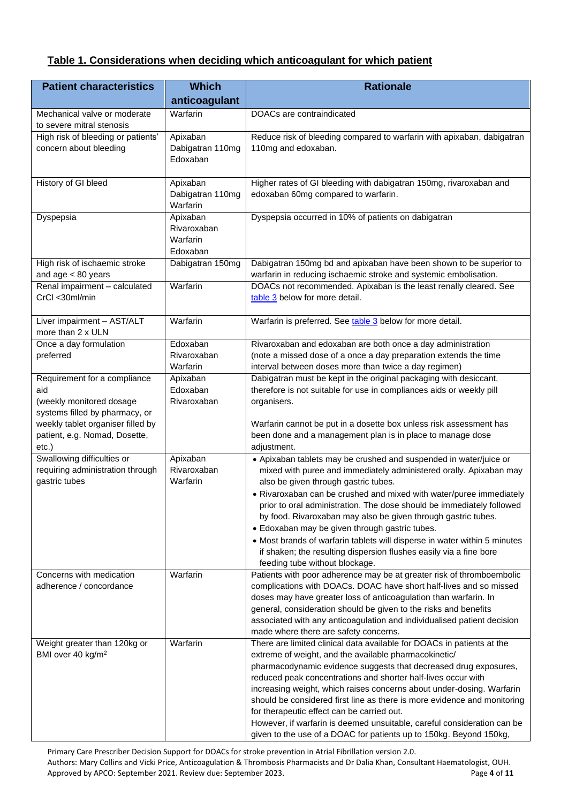## <span id="page-3-1"></span><span id="page-3-0"></span>**Table 1. Considerations when deciding which anticoagulant for which patient**

| <b>Patient characteristics</b>                                                                                                                                          | <b>Which</b>                                    | <b>Rationale</b>                                                                                                                                                                                                                                                                                                                                                                                                                                                                                                                                                                                                                                       |  |
|-------------------------------------------------------------------------------------------------------------------------------------------------------------------------|-------------------------------------------------|--------------------------------------------------------------------------------------------------------------------------------------------------------------------------------------------------------------------------------------------------------------------------------------------------------------------------------------------------------------------------------------------------------------------------------------------------------------------------------------------------------------------------------------------------------------------------------------------------------------------------------------------------------|--|
|                                                                                                                                                                         | anticoagulant                                   |                                                                                                                                                                                                                                                                                                                                                                                                                                                                                                                                                                                                                                                        |  |
| Mechanical valve or moderate<br>to severe mitral stenosis                                                                                                               | Warfarin                                        | DOACs are contraindicated                                                                                                                                                                                                                                                                                                                                                                                                                                                                                                                                                                                                                              |  |
| High risk of bleeding or patients'<br>concern about bleeding                                                                                                            | Apixaban<br>Dabigatran 110mg<br>Edoxaban        | Reduce risk of bleeding compared to warfarin with apixaban, dabigatran<br>110mg and edoxaban.                                                                                                                                                                                                                                                                                                                                                                                                                                                                                                                                                          |  |
| History of GI bleed                                                                                                                                                     | Apixaban<br>Dabigatran 110mg<br>Warfarin        | Higher rates of GI bleeding with dabigatran 150mg, rivaroxaban and<br>edoxaban 60mg compared to warfarin.                                                                                                                                                                                                                                                                                                                                                                                                                                                                                                                                              |  |
| Dyspepsia                                                                                                                                                               | Apixaban<br>Rivaroxaban<br>Warfarin<br>Edoxaban | Dyspepsia occurred in 10% of patients on dabigatran                                                                                                                                                                                                                                                                                                                                                                                                                                                                                                                                                                                                    |  |
| High risk of ischaemic stroke<br>and $age < 80$ years                                                                                                                   | Dabigatran 150mg                                | Dabigatran 150mg bd and apixaban have been shown to be superior to<br>warfarin in reducing ischaemic stroke and systemic embolisation.                                                                                                                                                                                                                                                                                                                                                                                                                                                                                                                 |  |
| Renal impairment - calculated<br>CrCl <30ml/min                                                                                                                         | Warfarin                                        | DOACs not recommended. Apixaban is the least renally cleared. See<br>table 3 below for more detail.                                                                                                                                                                                                                                                                                                                                                                                                                                                                                                                                                    |  |
| Liver impairment - AST/ALT<br>more than 2 x ULN                                                                                                                         | Warfarin                                        | Warfarin is preferred. See table 3 below for more detail.                                                                                                                                                                                                                                                                                                                                                                                                                                                                                                                                                                                              |  |
| Once a day formulation<br>preferred                                                                                                                                     | Edoxaban<br>Rivaroxaban<br>Warfarin             | Rivaroxaban and edoxaban are both once a day administration<br>(note a missed dose of a once a day preparation extends the time<br>interval between doses more than twice a day regimen)                                                                                                                                                                                                                                                                                                                                                                                                                                                               |  |
| Requirement for a compliance<br>aid<br>(weekly monitored dosage<br>systems filled by pharmacy, or<br>weekly tablet organiser filled by<br>patient, e.g. Nomad, Dosette, | Apixaban<br>Edoxaban<br>Rivaroxaban             | Dabigatran must be kept in the original packaging with desiccant,<br>therefore is not suitable for use in compliances aids or weekly pill<br>organisers.<br>Warfarin cannot be put in a dosette box unless risk assessment has<br>been done and a management plan is in place to manage dose                                                                                                                                                                                                                                                                                                                                                           |  |
| $etc.$ )<br>Swallowing difficulties or<br>requiring administration through<br>gastric tubes                                                                             | Apixaban<br>Rivaroxaban<br>Warfarin             | adjustment.<br>• Apixaban tablets may be crushed and suspended in water/juice or<br>mixed with puree and immediately administered orally. Apixaban may<br>also be given through gastric tubes.<br>• Rivaroxaban can be crushed and mixed with water/puree immediately<br>prior to oral administration. The dose should be immediately followed<br>by food. Rivaroxaban may also be given through gastric tubes.<br>• Edoxaban may be given through gastric tubes.<br>• Most brands of warfarin tablets will disperse in water within 5 minutes<br>if shaken; the resulting dispersion flushes easily via a fine bore<br>feeding tube without blockage. |  |
| Concerns with medication<br>adherence / concordance                                                                                                                     | Warfarin                                        | Patients with poor adherence may be at greater risk of thromboembolic<br>complications with DOACs. DOAC have short half-lives and so missed<br>doses may have greater loss of anticoagulation than warfarin. In<br>general, consideration should be given to the risks and benefits<br>associated with any anticoagulation and individualised patient decision<br>made where there are safety concerns.                                                                                                                                                                                                                                                |  |
| Weight greater than 120kg or<br>BMI over 40 kg/m <sup>2</sup>                                                                                                           | Warfarin                                        | There are limited clinical data available for DOACs in patients at the<br>extreme of weight, and the available pharmacokinetic/<br>pharmacodynamic evidence suggests that decreased drug exposures,<br>reduced peak concentrations and shorter half-lives occur with<br>increasing weight, which raises concerns about under-dosing. Warfarin<br>should be considered first line as there is more evidence and monitoring<br>for therapeutic effect can be carried out.<br>However, if warfarin is deemed unsuitable, careful consideration can be<br>given to the use of a DOAC for patients up to 150kg. Beyond 150kg,                               |  |

Primary Care Prescriber Decision Support for DOACs for stroke prevention in Atrial Fibrillation version 2.0. Authors: Mary Collins and Vicki Price, Anticoagulation & Thrombosis Pharmacists and Dr Dalia Khan, Consultant Haematologist, OUH. Approved by APCO: September 2021. Review due: September 2023. Page **4** of **11**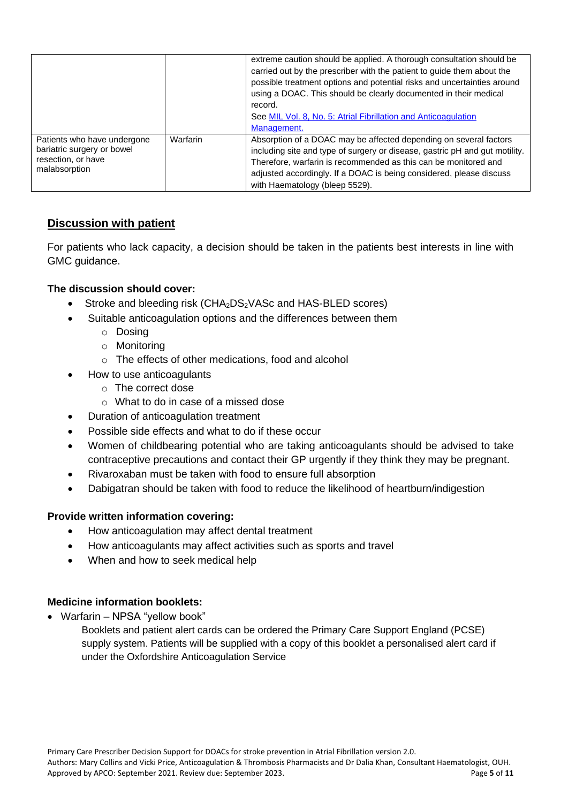|                                                                                                  |          | extreme caution should be applied. A thorough consultation should be<br>carried out by the prescriber with the patient to guide them about the<br>possible treatment options and potential risks and uncertainties around<br>using a DOAC. This should be clearly documented in their medical<br>record.<br>See MIL Vol. 8, No. 5: Atrial Fibrillation and Anticoagulation<br>Management. |
|--------------------------------------------------------------------------------------------------|----------|-------------------------------------------------------------------------------------------------------------------------------------------------------------------------------------------------------------------------------------------------------------------------------------------------------------------------------------------------------------------------------------------|
| Patients who have undergone<br>bariatric surgery or bowel<br>resection, or have<br>malabsorption | Warfarin | Absorption of a DOAC may be affected depending on several factors<br>including site and type of surgery or disease, gastric pH and gut motility.<br>Therefore, warfarin is recommended as this can be monitored and<br>adjusted accordingly. If a DOAC is being considered, please discuss<br>with Haematology (bleep 5529).                                                              |

## **Discussion with patient**

For patients who lack capacity, a decision should be taken in the patients best interests in line with GMC guidance.

#### **The discussion should cover:**

- Stroke and bleeding risk  $(CHA<sub>2</sub>DS<sub>2</sub>VASC and HAS-BLED scores)$
- Suitable anticoagulation options and the differences between them
	- o Dosing
	- o Monitoring
	- o The effects of other medications, food and alcohol
- How to use anticoagulants
	- o The correct dose
	- o What to do in case of a missed dose
- Duration of anticoagulation treatment
- Possible side effects and what to do if these occur
- Women of childbearing potential who are taking anticoagulants should be advised to take contraceptive precautions and contact their GP urgently if they think they may be pregnant.
- Rivaroxaban must be taken with food to ensure full absorption
- Dabigatran should be taken with food to reduce the likelihood of heartburn/indigestion

## **Provide written information covering:**

- How anticoagulation may affect dental treatment
- How anticoagulants may affect activities such as sports and travel
- When and how to seek medical help

#### **Medicine information booklets:**

• Warfarin – NPSA "yellow book"

Booklets and patient alert cards can be ordered the Primary Care Support England (PCSE) supply system. Patients will be supplied with a copy of this booklet a personalised alert card if under the Oxfordshire Anticoagulation Service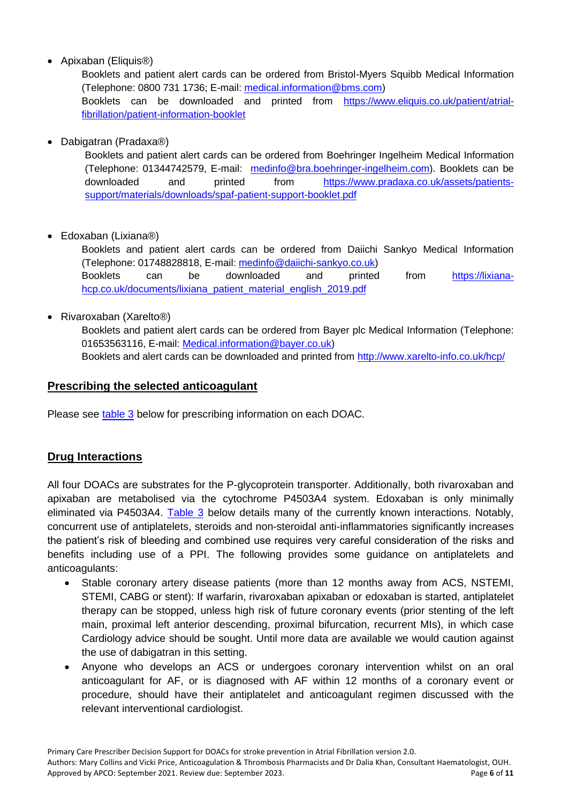• Apixaban (Eliquis<sup>®)</sup>

Booklets and patient alert cards can be ordered from Bristol-Myers Squibb Medical Information (Telephone: 0800 731 1736; E-mail: [medical.information@bms.com\)](mailto:medical.information@bms.com) Booklets can be downloaded and printed from [https://www.eliquis.co.uk/patient/atrial](https://www.eliquis.co.uk/patient/atrial-fibrillation/patient-information-booklet)[fibrillation/patient-information-booklet](https://www.eliquis.co.uk/patient/atrial-fibrillation/patient-information-booklet)

• Dabigatran (Pradaxa®)

Booklets and patient alert cards can be ordered from Boehringer Ingelheim Medical Information (Telephone: 01344742579, E-mail: [medinfo@bra.boehringer-ingelheim.com\)](mailto:medinfo@bra.boehringer-ingelheim.com). Booklets can be downloaded and printed from [https://www.pradaxa.co.uk/assets/patients](https://www.pradaxa.co.uk/assets/patients-support/materials/downloads/spaf-patient-support-booklet.pdf)[support/materials/downloads/spaf-patient-support-booklet.pdf](https://www.pradaxa.co.uk/assets/patients-support/materials/downloads/spaf-patient-support-booklet.pdf)

• Edoxaban (Lixiana®)

Booklets and patient alert cards can be ordered from Daiichi Sankyo Medical Information (Telephone: 01748828818, E-mail: [medinfo@daiichi-sankyo.co.uk\)](mailto:medinfo@daiichi-sankyo.co.uk) Booklets can be downloaded and printed from [https://lixiana](https://lixiana-hcp.co.uk/documents/lixiana_patient_material_english_2019.pdf)[hcp.co.uk/documents/lixiana\\_patient\\_material\\_english\\_2019.pdf](https://lixiana-hcp.co.uk/documents/lixiana_patient_material_english_2019.pdf)

• Rivaroxaban (Xarelto®)

Booklets and patient alert cards can be ordered from Bayer plc Medical Information (Telephone: 01653563116, E-mail: [Medical.information@bayer.co.uk\)](mailto:Medical.information@bayer.co.uk) Booklets and alert cards can be downloaded and printed from<http://www.xarelto-info.co.uk/hcp/>

## **Prescribing the selected anticoagulant**

Please see [table 3](#page-8-0) below for prescribing information on each DOAC.

## **Drug Interactions**

All four DOACs are substrates for the P-glycoprotein transporter. Additionally, both rivaroxaban and apixaban are metabolised via the cytochrome P4503A4 system. Edoxaban is only minimally eliminated via P4503A4. [Table 3](#page-8-0) below details many of the currently known interactions. Notably, concurrent use of antiplatelets, steroids and non-steroidal anti-inflammatories significantly increases the patient's risk of bleeding and combined use requires very careful consideration of the risks and benefits including use of a PPI. The following provides some guidance on antiplatelets and anticoagulants:

- Stable coronary artery disease patients (more than 12 months away from ACS, NSTEMI, STEMI, CABG or stent): If warfarin, rivaroxaban apixaban or edoxaban is started, antiplatelet therapy can be stopped, unless high risk of future coronary events (prior stenting of the left main, proximal left anterior descending, proximal bifurcation, recurrent MIs), in which case Cardiology advice should be sought. Until more data are available we would caution against the use of dabigatran in this setting.
- Anyone who develops an ACS or undergoes coronary intervention whilst on an oral anticoagulant for AF, or is diagnosed with AF within 12 months of a coronary event or procedure, should have their antiplatelet and anticoagulant regimen discussed with the relevant interventional cardiologist.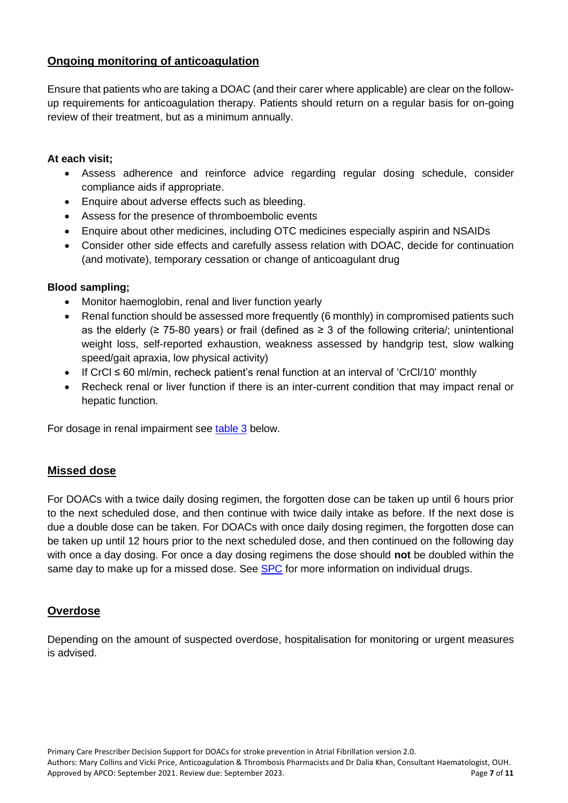## **Ongoing monitoring of anticoagulation**

Ensure that patients who are taking a DOAC (and their carer where applicable) are clear on the followup requirements for anticoagulation therapy. Patients should return on a regular basis for on-going review of their treatment, but as a minimum annually.

### **At each visit;**

- Assess adherence and reinforce advice regarding regular dosing schedule, consider compliance aids if appropriate.
- Enquire about adverse effects such as bleeding.
- Assess for the presence of thromboembolic events
- Enquire about other medicines, including OTC medicines especially aspirin and NSAIDs
- Consider other side effects and carefully assess relation with DOAC, decide for continuation (and motivate), temporary cessation or change of anticoagulant drug

## **Blood sampling;**

- Monitor haemoglobin, renal and liver function yearly
- Renal function should be assessed more frequently (6 monthly) in compromised patients such as the elderly ( $\geq$  75-80 years) or frail (defined as  $\geq$  3 of the following criteria/; unintentional weight loss, self-reported exhaustion, weakness assessed by handgrip test, slow walking speed/gait apraxia, low physical activity)
- If CrCl ≤ 60 ml/min, recheck patient's renal function at an interval of 'CrCl/10' monthly
- Recheck renal or liver function if there is an inter-current condition that may impact renal or hepatic function.

For dosage in renal impairment see [table 3](#page-8-0) below.

## **Missed dose**

For DOACs with a twice daily dosing regimen, the forgotten dose can be taken up until 6 hours prior to the next scheduled dose, and then continue with twice daily intake as before. If the next dose is due a double dose can be taken. For DOACs with once daily dosing regimen, the forgotten dose can be taken up until 12 hours prior to the next scheduled dose, and then continued on the following day with once a day dosing. For once a day dosing regimens the dose should **not** be doubled within the same day to make up for a missed dose. See [SPC](https://www.medicines.org.uk/emc/) for more information on individual drugs.

## **Overdose**

Depending on the amount of suspected overdose, hospitalisation for monitoring or urgent measures is advised.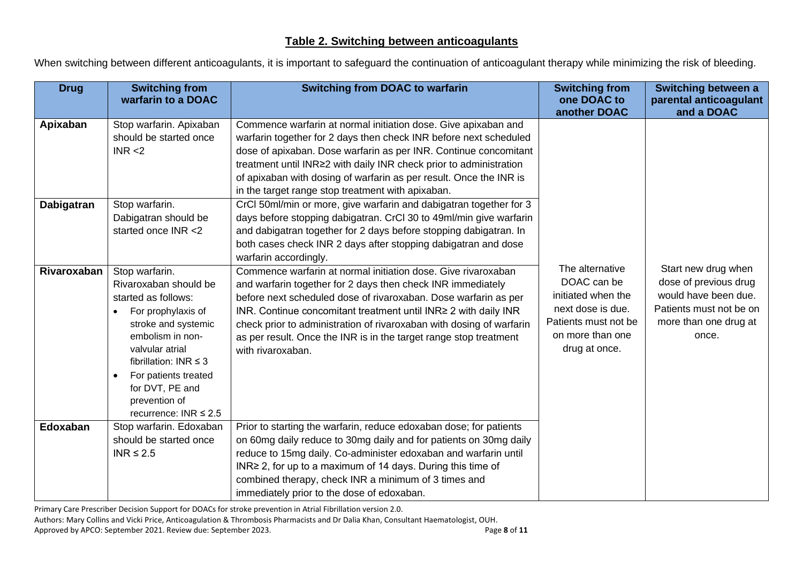<span id="page-7-0"></span>When switching between different anticoagulants, it is important to safeguard the continuation of anticoagulant therapy while minimizing the risk of bleeding.

| <b>Drug</b> | <b>Switching from</b><br>warfarin to a DOAC                                                                                                                                                                                                                                                          | <b>Switching from DOAC to warfarin</b>                                                                                                                                                                                                                                                                                                                                                                                                | <b>Switching from</b><br>one DOAC to<br>another DOAC                                                                                   | Switching between a<br>parental anticoagulant<br>and a DOAC                                                                       |
|-------------|------------------------------------------------------------------------------------------------------------------------------------------------------------------------------------------------------------------------------------------------------------------------------------------------------|---------------------------------------------------------------------------------------------------------------------------------------------------------------------------------------------------------------------------------------------------------------------------------------------------------------------------------------------------------------------------------------------------------------------------------------|----------------------------------------------------------------------------------------------------------------------------------------|-----------------------------------------------------------------------------------------------------------------------------------|
| Apixaban    | Stop warfarin. Apixaban<br>should be started once<br>INR < 2                                                                                                                                                                                                                                         | Commence warfarin at normal initiation dose. Give apixaban and<br>warfarin together for 2 days then check INR before next scheduled<br>dose of apixaban. Dose warfarin as per INR. Continue concomitant<br>treatment until INR≥2 with daily INR check prior to administration<br>of apixaban with dosing of warfarin as per result. Once the INR is<br>in the target range stop treatment with apixaban.                              |                                                                                                                                        |                                                                                                                                   |
| Dabigatran  | Stop warfarin.<br>Dabigatran should be<br>started once INR <2                                                                                                                                                                                                                                        | CrCl 50ml/min or more, give warfarin and dabigatran together for 3<br>days before stopping dabigatran. CrCl 30 to 49ml/min give warfarin<br>and dabigatran together for 2 days before stopping dabigatran. In<br>both cases check INR 2 days after stopping dabigatran and dose<br>warfarin accordingly.                                                                                                                              |                                                                                                                                        |                                                                                                                                   |
| Rivaroxaban | Stop warfarin.<br>Rivaroxaban should be<br>started as follows:<br>For prophylaxis of<br>$\bullet$<br>stroke and systemic<br>embolism in non-<br>valvular atrial<br>fibrillation: INR $\leq$ 3<br>For patients treated<br>$\bullet$<br>for DVT, PE and<br>prevention of<br>recurrence: INR $\leq 2.5$ | Commence warfarin at normal initiation dose. Give rivaroxaban<br>and warfarin together for 2 days then check INR immediately<br>before next scheduled dose of rivaroxaban. Dose warfarin as per<br>INR. Continue concomitant treatment until INR ≥ 2 with daily INR<br>check prior to administration of rivaroxaban with dosing of warfarin<br>as per result. Once the INR is in the target range stop treatment<br>with rivaroxaban. | The alternative<br>DOAC can be<br>initiated when the<br>next dose is due.<br>Patients must not be<br>on more than one<br>drug at once. | Start new drug when<br>dose of previous drug<br>would have been due.<br>Patients must not be on<br>more than one drug at<br>once. |
| Edoxaban    | Stop warfarin. Edoxaban<br>should be started once<br>INR $\leq 2.5$                                                                                                                                                                                                                                  | Prior to starting the warfarin, reduce edoxaban dose; for patients<br>on 60mg daily reduce to 30mg daily and for patients on 30mg daily<br>reduce to 15mg daily. Co-administer edoxaban and warfarin until<br>INR≥ 2, for up to a maximum of 14 days. During this time of<br>combined therapy, check INR a minimum of 3 times and<br>immediately prior to the dose of edoxaban.                                                       |                                                                                                                                        |                                                                                                                                   |

Primary Care Prescriber Decision Support for DOACs for stroke prevention in Atrial Fibrillation version 2.0.

Authors: Mary Collins and Vicki Price, Anticoagulation & Thrombosis Pharmacists and Dr Dalia Khan, Consultant Haematologist, OUH.

Approved by APCO: September 2021. Review due: September 2023. Page **8** of **11**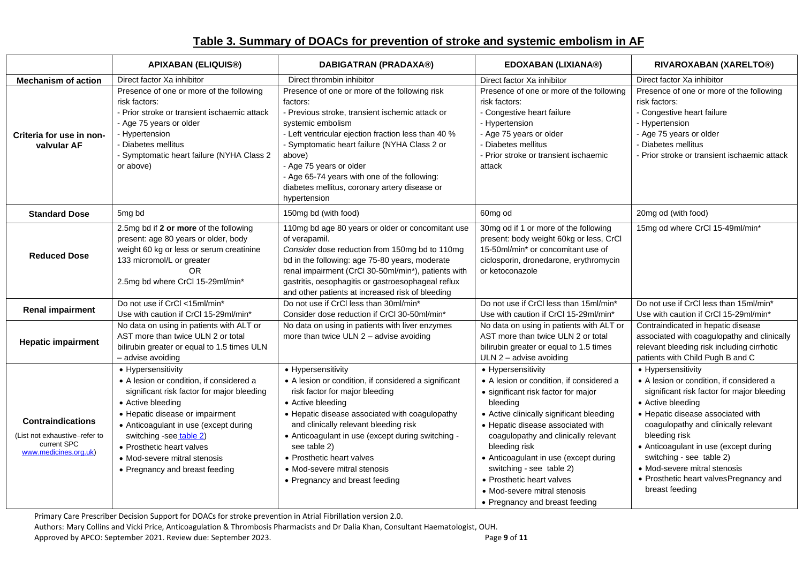## **Table 3. Summary of DOACs for prevention of stroke and systemic embolism in AF**

<span id="page-8-0"></span>

|                                                                                                   | <b>APIXABAN (ELIQUIS®)</b>                                                                                                                                                                                                                                                                                                              | <b>DABIGATRAN (PRADAXA®)</b>                                                                                                                                                                                                                                                                                                                                                                     | <b>EDOXABAN (LIXIANA®)</b>                                                                                                                                                                                                                                                                                                                                                                                                      | RIVAROXABAN (XARELTO®)                                                                                                                                                                                                                                                                                                                                                                           |
|---------------------------------------------------------------------------------------------------|-----------------------------------------------------------------------------------------------------------------------------------------------------------------------------------------------------------------------------------------------------------------------------------------------------------------------------------------|--------------------------------------------------------------------------------------------------------------------------------------------------------------------------------------------------------------------------------------------------------------------------------------------------------------------------------------------------------------------------------------------------|---------------------------------------------------------------------------------------------------------------------------------------------------------------------------------------------------------------------------------------------------------------------------------------------------------------------------------------------------------------------------------------------------------------------------------|--------------------------------------------------------------------------------------------------------------------------------------------------------------------------------------------------------------------------------------------------------------------------------------------------------------------------------------------------------------------------------------------------|
| <b>Mechanism of action</b>                                                                        | Direct factor Xa inhibitor                                                                                                                                                                                                                                                                                                              | Direct thrombin inhibitor                                                                                                                                                                                                                                                                                                                                                                        | Direct factor Xa inhibitor                                                                                                                                                                                                                                                                                                                                                                                                      | Direct factor Xa inhibitor                                                                                                                                                                                                                                                                                                                                                                       |
| Criteria for use in non-<br>valvular AF                                                           | Presence of one or more of the following<br>risk factors:<br>- Prior stroke or transient ischaemic attack<br>- Age 75 years or older<br>- Hypertension<br>- Diabetes mellitus<br>- Symptomatic heart failure (NYHA Class 2<br>or above)                                                                                                 | Presence of one or more of the following risk<br>factors:<br>- Previous stroke, transient ischemic attack or<br>systemic embolism<br>- Left ventricular ejection fraction less than 40 %<br>- Symptomatic heart failure (NYHA Class 2 or<br>above)<br>- Age 75 years or older<br>- Age 65-74 years with one of the following:<br>diabetes mellitus, coronary artery disease or<br>hypertension   | Presence of one or more of the following<br>risk factors:<br>- Congestive heart failure<br>- Hypertension<br>- Age 75 years or older<br>Diabetes mellitus<br>Prior stroke or transient ischaemic<br>attack                                                                                                                                                                                                                      | Presence of one or more of the following<br>risk factors:<br>- Congestive heart failure<br>- Hypertension<br>- Age 75 years or older<br>- Diabetes mellitus<br>- Prior stroke or transient ischaemic attack                                                                                                                                                                                      |
| <b>Standard Dose</b>                                                                              | 5mg bd                                                                                                                                                                                                                                                                                                                                  | 150mg bd (with food)                                                                                                                                                                                                                                                                                                                                                                             | 60mg od                                                                                                                                                                                                                                                                                                                                                                                                                         | 20mg od (with food)                                                                                                                                                                                                                                                                                                                                                                              |
| <b>Reduced Dose</b>                                                                               | 2.5mg bd if 2 or more of the following<br>present: age 80 years or older, body<br>weight 60 kg or less or serum creatinine<br>133 micromol/L or greater<br><b>OR</b><br>2.5mg bd where CrCl 15-29ml/min*                                                                                                                                | 110mg bd age 80 years or older or concomitant use<br>of verapamil.<br>Consider dose reduction from 150mg bd to 110mg<br>bd in the following: age 75-80 years, moderate<br>renal impairment (CrCl 30-50ml/min*), patients with<br>gastritis, oesophagitis or gastroesophageal reflux<br>and other patients at increased risk of bleeding                                                          | 30mg od if 1 or more of the following<br>present: body weight 60kg or less, CrCl<br>15-50ml/min* or concomitant use of<br>ciclosporin, dronedarone, erythromycin<br>or ketoconazole                                                                                                                                                                                                                                             | 15mg od where CrCl 15-49ml/min*                                                                                                                                                                                                                                                                                                                                                                  |
| <b>Renal impairment</b>                                                                           | Do not use if CrCl <15ml/min*<br>Use with caution if CrCl 15-29ml/min*                                                                                                                                                                                                                                                                  | Do not use if CrCl less than 30ml/min*<br>Consider dose reduction if CrCl 30-50ml/min*                                                                                                                                                                                                                                                                                                           | Do not use if CrCI less than 15ml/min*<br>Use with caution if CrCl 15-29ml/min*                                                                                                                                                                                                                                                                                                                                                 | Do not use if CrCl less than 15ml/min*<br>Use with caution if CrCl 15-29ml/min*                                                                                                                                                                                                                                                                                                                  |
| <b>Hepatic impairment</b>                                                                         | No data on using in patients with ALT or<br>AST more than twice ULN 2 or total<br>bilirubin greater or equal to 1.5 times ULN<br>- advise avoiding                                                                                                                                                                                      | No data on using in patients with liver enzymes<br>more than twice ULN $2$ – advise avoiding                                                                                                                                                                                                                                                                                                     | No data on using in patients with ALT or<br>AST more than twice ULN 2 or total<br>bilirubin greater or equal to 1.5 times<br>ULN $2$ – advise avoiding                                                                                                                                                                                                                                                                          | Contraindicated in hepatic disease<br>associated with coagulopathy and clinically<br>relevant bleeding risk including cirrhotic<br>patients with Child Pugh B and C                                                                                                                                                                                                                              |
| <b>Contraindications</b><br>(List not exhaustive-refer to<br>current SPC<br>www.medicines.org.uk) | • Hypersensitivity<br>• A lesion or condition, if considered a<br>significant risk factor for major bleeding<br>• Active bleeding<br>• Hepatic disease or impairment<br>• Anticoagulant in use (except during<br>switching -see table 2)<br>• Prosthetic heart valves<br>• Mod-severe mitral stenosis<br>• Pregnancy and breast feeding | • Hypersensitivity<br>• A lesion or condition, if considered a significant<br>risk factor for major bleeding<br>• Active bleeding<br>• Hepatic disease associated with coagulopathy<br>and clinically relevant bleeding risk<br>• Anticoagulant in use (except during switching -<br>see table 2)<br>• Prosthetic heart valves<br>• Mod-severe mitral stenosis<br>• Pregnancy and breast feeding | • Hypersensitivity<br>• A lesion or condition, if considered a<br>· significant risk factor for major<br>bleeding<br>• Active clinically significant bleeding<br>• Hepatic disease associated with<br>coagulopathy and clinically relevant<br>bleeding risk<br>• Anticoagulant in use (except during<br>switching - see table 2)<br>• Prosthetic heart valves<br>• Mod-severe mitral stenosis<br>• Pregnancy and breast feeding | • Hypersensitivity<br>• A lesion or condition, if considered a<br>significant risk factor for major bleeding<br>• Active bleeding<br>• Hepatic disease associated with<br>coagulopathy and clinically relevant<br>bleeding risk<br>• Anticoagulant in use (except during<br>switching - see table 2)<br>• Mod-severe mitral stenosis<br>• Prosthetic heart valvesPregnancy and<br>breast feeding |

Primary Care Prescriber Decision Support for DOACs for stroke prevention in Atrial Fibrillation version 2.0.

Authors: Mary Collins and Vicki Price, Anticoagulation & Thrombosis Pharmacists and Dr Dalia Khan, Consultant Haematologist, OUH.<br>Page 9 of 11 Page 9 of 11

Approved by APCO: September 2021. Review due: September 2023.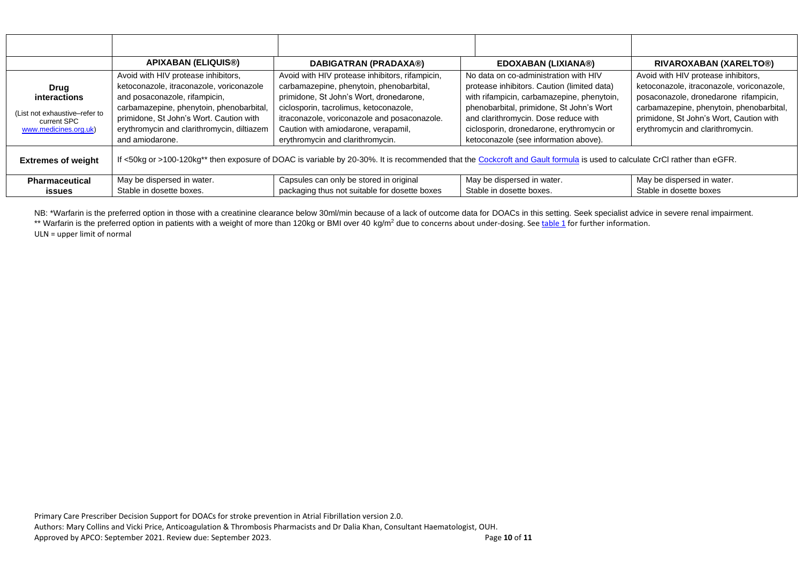|                                                              | <b>APIXABAN (ELIQUIS®)</b>                                                                                                                                               | DABIGATRAN (PRADAXA®)                                                                                                                                                            | <b>EDOXABAN (LIXIANA®)</b>                                                                                                                                                     | RIVAROXABAN (XARELTO®)                                                                                                                                                |
|--------------------------------------------------------------|--------------------------------------------------------------------------------------------------------------------------------------------------------------------------|----------------------------------------------------------------------------------------------------------------------------------------------------------------------------------|--------------------------------------------------------------------------------------------------------------------------------------------------------------------------------|-----------------------------------------------------------------------------------------------------------------------------------------------------------------------|
| <b>Drug</b><br>interactions<br>(List not exhaustive-refer to | Avoid with HIV protease inhibitors,<br>ketoconazole, itraconazole, voriconazole<br>and posaconazole, rifampicin,<br>carbamazepine, phenytoin, phenobarbital,             | Avoid with HIV protease inhibitors, rifampicin,<br>carbamazepine, phenytoin, phenobarbital,<br>primidone, St John's Wort, dronedarone,<br>ciclosporin, tacrolimus, ketoconazole, | No data on co-administration with HIV<br>protease inhibitors. Caution (limited data)<br>with rifampicin, carbamazepine, phenytoin,<br>phenobarbital, primidone, St John's Wort | Avoid with HIV protease inhibitors,<br>ketoconazole, itraconazole, voriconazole,<br>posaconazole, dronedarone rifampicin,<br>carbamazepine, phenytoin, phenobarbital, |
| current SPC<br>www.medicines.org.uk)                         | primidone, St John's Wort. Caution with<br>erythromycin and clarithromycin, diltiazem<br>and amiodarone.                                                                 | itraconazole, voriconazole and posaconazole.<br>Caution with amiodarone, verapamil,<br>erythromycin and clarithromycin.                                                          | and clarithromycin. Dose reduce with<br>ciclosporin, dronedarone, erythromycin or<br>ketoconazole (see information above).                                                     | primidone, St John's Wort, Caution with<br>erythromycin and clarithromycin.                                                                                           |
| <b>Extremes of weight</b>                                    | If <50kg or >100-120kg** then exposure of DOAC is variable by 20-30%. It is recommended that the Cockcroft and Gault formula is used to calculate CrCI rather than eGFR. |                                                                                                                                                                                  |                                                                                                                                                                                |                                                                                                                                                                       |
| <b>Pharmaceutical</b><br>issues                              | May be dispersed in water.<br>Stable in dosette boxes.                                                                                                                   | Capsules can only be stored in original<br>packaging thus not suitable for dosette boxes                                                                                         | May be dispersed in water.<br>Stable in dosette boxes.                                                                                                                         | May be dispersed in water.<br>Stable in dosette boxes                                                                                                                 |

NB: \*Warfarin is the preferred option in those with a creatinine clearance below 30ml/min because of a lack of outcome data for DOACs in this setting. Seek specialist advice in severe renal impairment. \*\* Warfarin is the preferred option in patients with a weight of more than 120kg or BMI over 40 kg/m<sup>2</sup> due to concerns about under-dosing. See [table 1](#page-3-1) for further information.

ULN = upper limit of normal